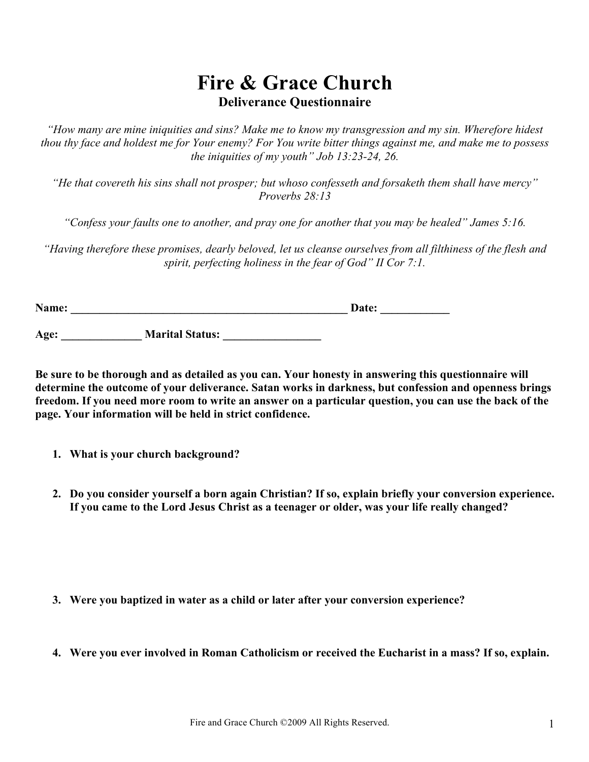# **Fire & Grace Church Deliverance Questionnaire**

*"How many are mine iniquities and sins? Make me to know my transgression and my sin. Wherefore hidest thou thy face and holdest me for Your enemy? For You write bitter things against me, and make me to possess the iniquities of my youth" Job 13:23-24, 26.*

*"He that covereth his sins shall not prosper; but whoso confesseth and forsaketh them shall have mercy" Proverbs 28:13* 

*"Confess your faults one to another, and pray one for another that you may be healed" James 5:16.*

*"Having therefore these promises, dearly beloved, let us cleanse ourselves from all filthiness of the flesh and spirit, perfecting holiness in the fear of God" II Cor 7:1.*

| Name: | <b>Date:</b> |  |
|-------|--------------|--|
|       |              |  |

Age: **Marital Status:**  $\blacksquare$ 

**Be sure to be thorough and as detailed as you can. Your honesty in answering this questionnaire will determine the outcome of your deliverance. Satan works in darkness, but confession and openness brings freedom. If you need more room to write an answer on a particular question, you can use the back of the page. Your information will be held in strict confidence.**

- **1. What is your church background?**
- **2. Do you consider yourself a born again Christian? If so, explain briefly your conversion experience. If you came to the Lord Jesus Christ as a teenager or older, was your life really changed?**

- **3. Were you baptized in water as a child or later after your conversion experience?**
- **4. Were you ever involved in Roman Catholicism or received the Eucharist in a mass? If so, explain.**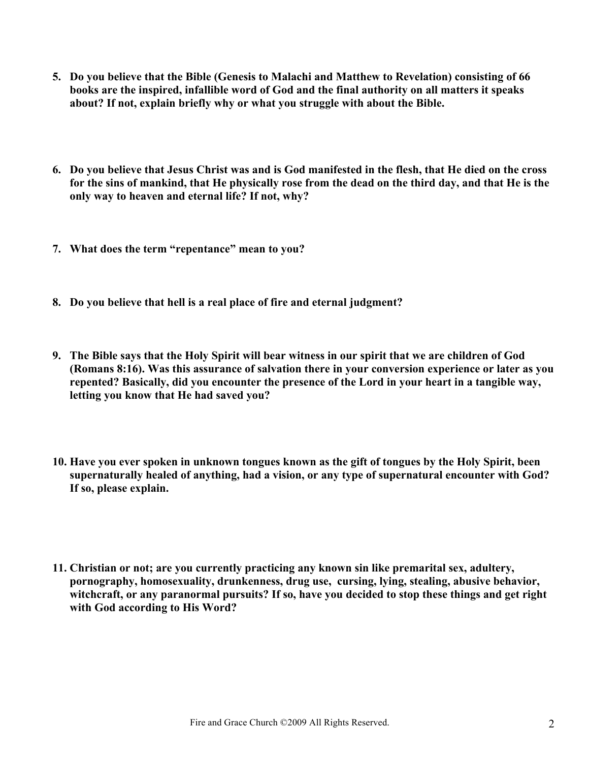- **5. Do you believe that the Bible (Genesis to Malachi and Matthew to Revelation) consisting of 66 books are the inspired, infallible word of God and the final authority on all matters it speaks about? If not, explain briefly why or what you struggle with about the Bible.**
- **6. Do you believe that Jesus Christ was and is God manifested in the flesh, that He died on the cross for the sins of mankind, that He physically rose from the dead on the third day, and that He is the only way to heaven and eternal life? If not, why?**
- **7. What does the term "repentance" mean to you?**
- **8. Do you believe that hell is a real place of fire and eternal judgment?**
- **9. The Bible says that the Holy Spirit will bear witness in our spirit that we are children of God (Romans 8:16). Was this assurance of salvation there in your conversion experience or later as you repented? Basically, did you encounter the presence of the Lord in your heart in a tangible way, letting you know that He had saved you?**
- **10. Have you ever spoken in unknown tongues known as the gift of tongues by the Holy Spirit, been supernaturally healed of anything, had a vision, or any type of supernatural encounter with God? If so, please explain.**
- **11. Christian or not; are you currently practicing any known sin like premarital sex, adultery, pornography, homosexuality, drunkenness, drug use, cursing, lying, stealing, abusive behavior, witchcraft, or any paranormal pursuits? If so, have you decided to stop these things and get right with God according to His Word?**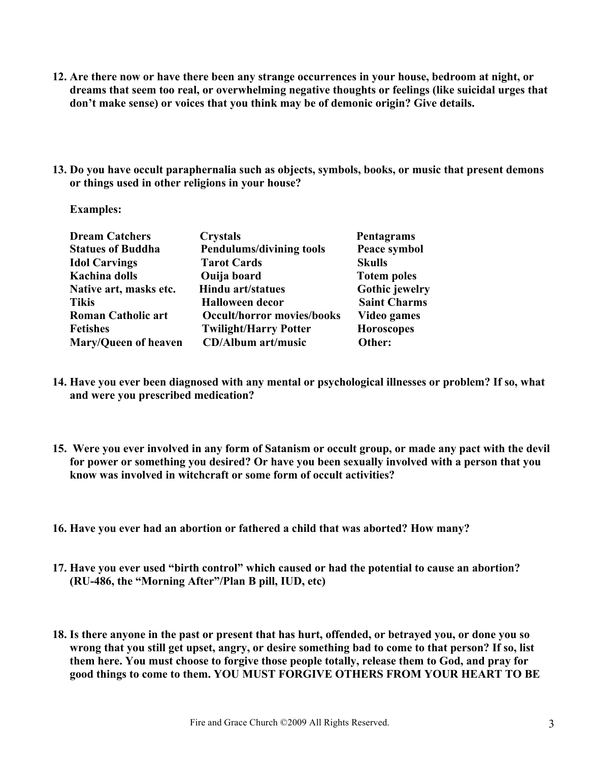- **12. Are there now or have there been any strange occurrences in your house, bedroom at night, or dreams that seem too real, or overwhelming negative thoughts or feelings (like suicidal urges that don't make sense) or voices that you think may be of demonic origin? Give details.**
- **13. Do you have occult paraphernalia such as objects, symbols, books, or music that present demons or things used in other religions in your house?**

 **Examples:**

| <b>Dream Catchers</b>     | <b>Crystals</b>                   | Pentagrams            |
|---------------------------|-----------------------------------|-----------------------|
| <b>Statues of Buddha</b>  | <b>Pendulums/divining tools</b>   | Peace symbol          |
| <b>Idol Carvings</b>      | <b>Tarot Cards</b>                | <b>Skulls</b>         |
| <b>Kachina dolls</b>      | Ouija board                       | <b>Totem poles</b>    |
| Native art, masks etc.    | <b>Hindu art/statues</b>          | <b>Gothic jewelry</b> |
| <b>Tikis</b>              | <b>Halloween decor</b>            | <b>Saint Charms</b>   |
| <b>Roman Catholic art</b> | <b>Occult/horror movies/books</b> | Video games           |
| <b>Fetishes</b>           | <b>Twilight/Harry Potter</b>      | <b>Horoscopes</b>     |
| Mary/Queen of heaven      | <b>CD/Album art/music</b>         | Other:                |

- **14. Have you ever been diagnosed with any mental or psychological illnesses or problem? If so, what and were you prescribed medication?**
- **15. Were you ever involved in any form of Satanism or occult group, or made any pact with the devil for power or something you desired? Or have you been sexually involved with a person that you know was involved in witchcraft or some form of occult activities?**
- **16. Have you ever had an abortion or fathered a child that was aborted? How many?**
- **17. Have you ever used "birth control" which caused or had the potential to cause an abortion? (RU-486, the "Morning After"/Plan B pill, IUD, etc)**
- **18. Is there anyone in the past or present that has hurt, offended, or betrayed you, or done you so wrong that you still get upset, angry, or desire something bad to come to that person? If so, list them here. You must choose to forgive those people totally, release them to God, and pray for good things to come to them. YOU MUST FORGIVE OTHERS FROM YOUR HEART TO BE**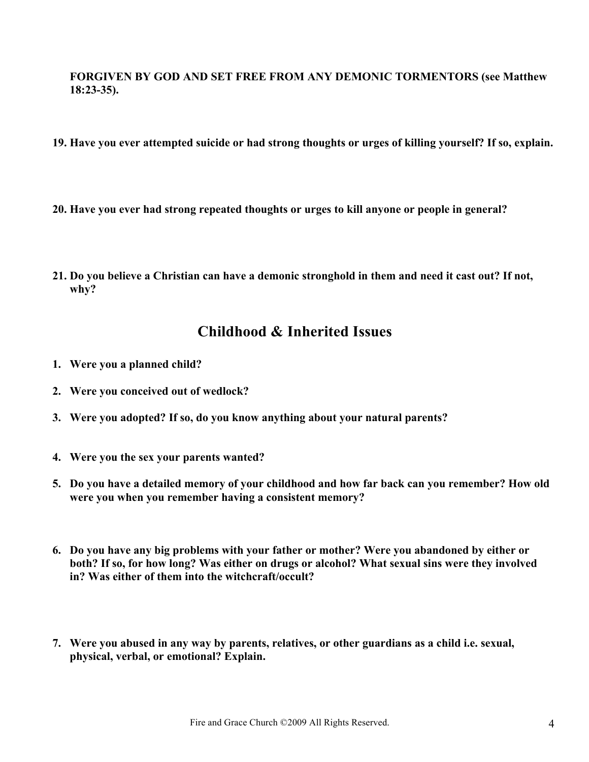**FORGIVEN BY GOD AND SET FREE FROM ANY DEMONIC TORMENTORS (see Matthew 18:23-35).**

- **19. Have you ever attempted suicide or had strong thoughts or urges of killing yourself? If so, explain.**
- **20. Have you ever had strong repeated thoughts or urges to kill anyone or people in general?**
- **21. Do you believe a Christian can have a demonic stronghold in them and need it cast out? If not, why?**

### **Childhood & Inherited Issues**

- **1. Were you a planned child?**
- **2. Were you conceived out of wedlock?**
- **3. Were you adopted? If so, do you know anything about your natural parents?**
- **4. Were you the sex your parents wanted?**
- **5. Do you have a detailed memory of your childhood and how far back can you remember? How old were you when you remember having a consistent memory?**
- **6. Do you have any big problems with your father or mother? Were you abandoned by either or both? If so, for how long? Was either on drugs or alcohol? What sexual sins were they involved in? Was either of them into the witchcraft/occult?**
- **7. Were you abused in any way by parents, relatives, or other guardians as a child i.e. sexual, physical, verbal, or emotional? Explain.**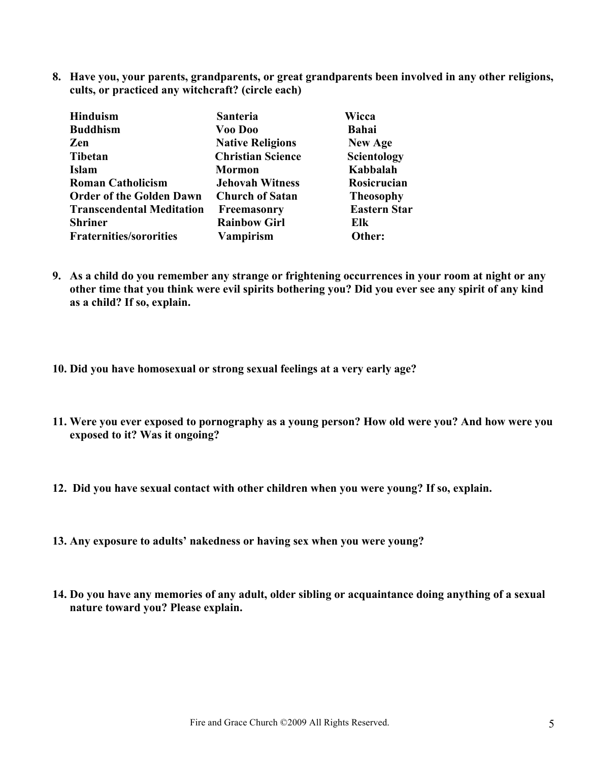**8. Have you, your parents, grandparents, or great grandparents been involved in any other religions, cults, or practiced any witchcraft? (circle each)**

| Scientology         |
|---------------------|
|                     |
| Rosicrucian         |
| <b>Theosophy</b>    |
| <b>Eastern Star</b> |
|                     |
|                     |
|                     |

- **9. As a child do you remember any strange or frightening occurrences in your room at night or any other time that you think were evil spirits bothering you? Did you ever see any spirit of any kind as a child? If so, explain.**
- **10. Did you have homosexual or strong sexual feelings at a very early age?**
- **11. Were you ever exposed to pornography as a young person? How old were you? And how were you exposed to it? Was it ongoing?**
- **12. Did you have sexual contact with other children when you were young? If so, explain.**
- **13. Any exposure to adults' nakedness or having sex when you were young?**
- **14. Do you have any memories of any adult, older sibling or acquaintance doing anything of a sexual nature toward you? Please explain.**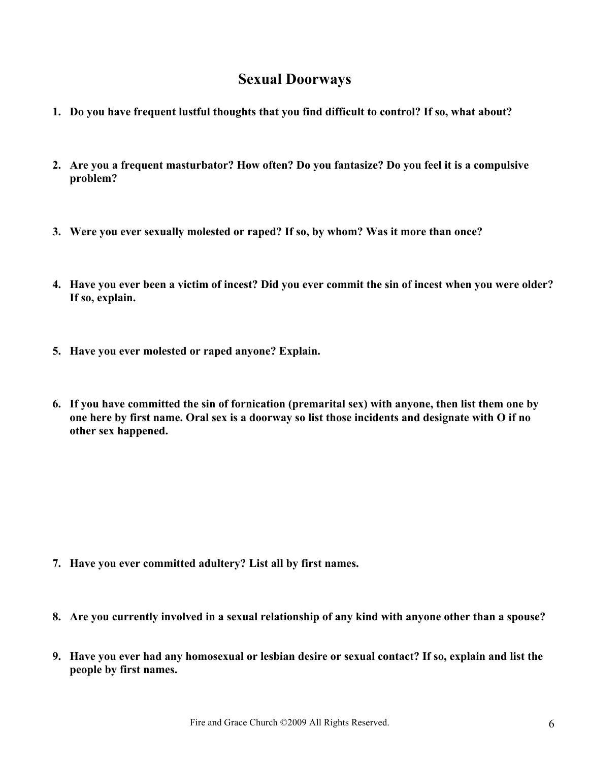### **Sexual Doorways**

- **1. Do you have frequent lustful thoughts that you find difficult to control? If so, what about?**
- **2. Are you a frequent masturbator? How often? Do you fantasize? Do you feel it is a compulsive problem?**
- **3. Were you ever sexually molested or raped? If so, by whom? Was it more than once?**
- **4. Have you ever been a victim of incest? Did you ever commit the sin of incest when you were older? If so, explain.**
- **5. Have you ever molested or raped anyone? Explain.**
- **6. If you have committed the sin of fornication (premarital sex) with anyone, then list them one by one here by first name. Oral sex is a doorway so list those incidents and designate with O if no other sex happened.**

- **7. Have you ever committed adultery? List all by first names.**
- **8. Are you currently involved in a sexual relationship of any kind with anyone other than a spouse?**
- **9. Have you ever had any homosexual or lesbian desire or sexual contact? If so, explain and list the people by first names.**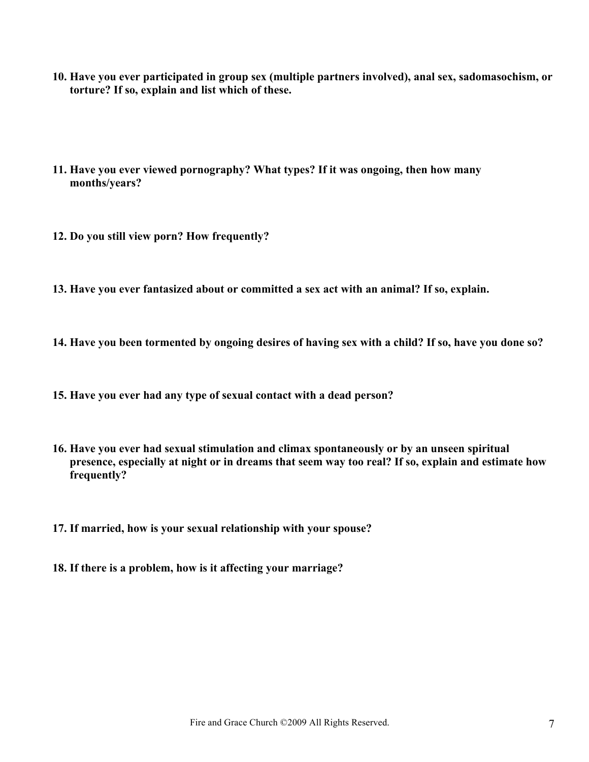- **10. Have you ever participated in group sex (multiple partners involved), anal sex, sadomasochism, or torture? If so, explain and list which of these.**
- **11. Have you ever viewed pornography? What types? If it was ongoing, then how many months/years?**
- **12. Do you still view porn? How frequently?**
- **13. Have you ever fantasized about or committed a sex act with an animal? If so, explain.**
- **14. Have you been tormented by ongoing desires of having sex with a child? If so, have you done so?**
- **15. Have you ever had any type of sexual contact with a dead person?**
- **16. Have you ever had sexual stimulation and climax spontaneously or by an unseen spiritual presence, especially at night or in dreams that seem way too real? If so, explain and estimate how frequently?**
- **17. If married, how is your sexual relationship with your spouse?**
- **18. If there is a problem, how is it affecting your marriage?**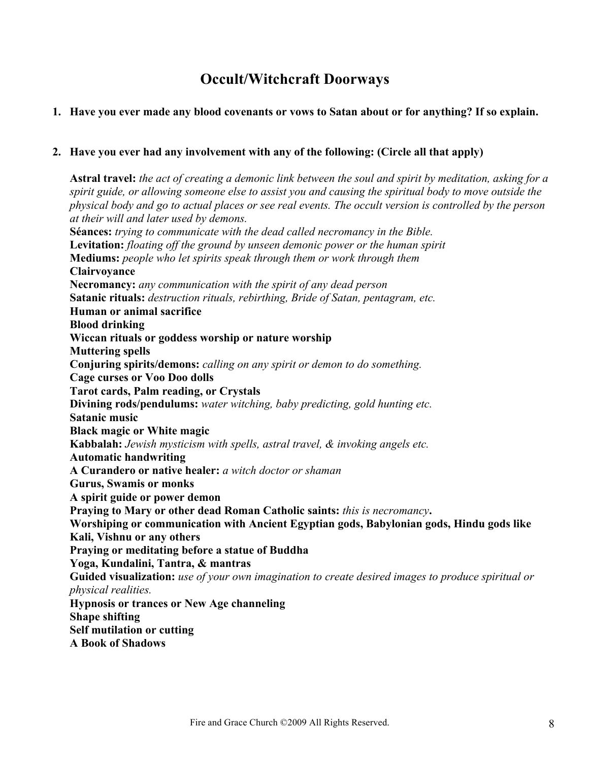# **Occult/Witchcraft Doorways**

#### **1. Have you ever made any blood covenants or vows to Satan about or for anything? If so explain.**

#### **2. Have you ever had any involvement with any of the following: (Circle all that apply)**

**Astral travel:** *the act of creating a demonic link between the soul and spirit by meditation, asking for a spirit guide, or allowing someone else to assist you and causing the spiritual body to move outside the physical body and go to actual places or see real events. The occult version is controlled by the person at their will and later used by demons.* **Séances:** *trying to communicate with the dead called necromancy in the Bible.* **Levitation:** *floating off the ground by unseen demonic power or the human spirit* **Mediums:** *people who let spirits speak through them or work through them* **Clairvoyance Necromancy:** *any communication with the spirit of any dead person* **Satanic rituals:** *destruction rituals, rebirthing, Bride of Satan, pentagram, etc.* **Human or animal sacrifice Blood drinking Wiccan rituals or goddess worship or nature worship Muttering spells Conjuring spirits/demons:** *calling on any spirit or demon to do something.* **Cage curses or Voo Doo dolls Tarot cards, Palm reading, or Crystals Divining rods/pendulums:** *water witching, baby predicting, gold hunting etc.* **Satanic music Black magic or White magic Kabbalah:** *Jewish mysticism with spells, astral travel, & invoking angels etc.* **Automatic handwriting A Curandero or native healer:** *a witch doctor or shaman* **Gurus, Swamis or monks A spirit guide or power demon Praying to Mary or other dead Roman Catholic saints:** *this is necromancy***. Worshiping or communication with Ancient Egyptian gods, Babylonian gods, Hindu gods like Kali, Vishnu or any others Praying or meditating before a statue of Buddha Yoga, Kundalini, Tantra, & mantras Guided visualization:** *use of your own imagination to create desired images to produce spiritual or physical realities.* **Hypnosis or trances or New Age channeling Shape shifting Self mutilation or cutting A Book of Shadows**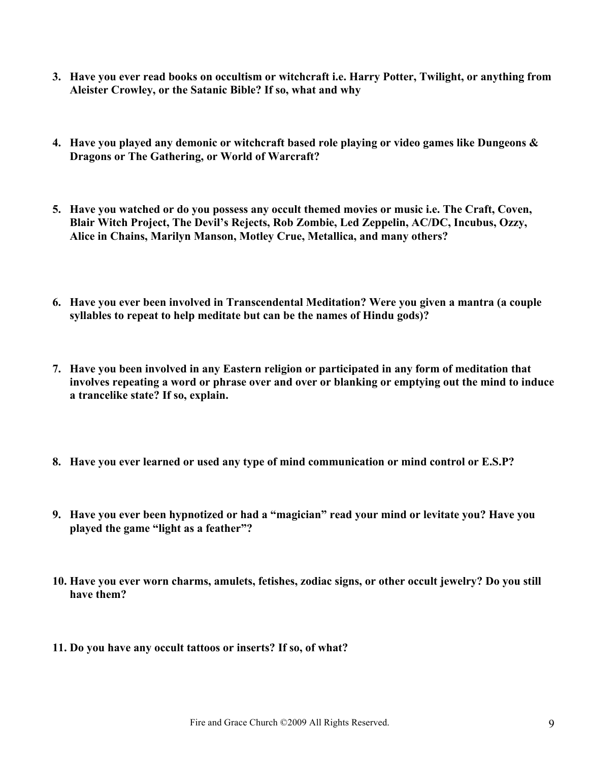- **3. Have you ever read books on occultism or witchcraft i.e. Harry Potter, Twilight, or anything from Aleister Crowley, or the Satanic Bible? If so, what and why**
- **4. Have you played any demonic or witchcraft based role playing or video games like Dungeons & Dragons or The Gathering, or World of Warcraft?**
- **5. Have you watched or do you possess any occult themed movies or music i.e. The Craft, Coven, Blair Witch Project, The Devil's Rejects, Rob Zombie, Led Zeppelin, AC/DC, Incubus, Ozzy, Alice in Chains, Marilyn Manson, Motley Crue, Metallica, and many others?**
- **6. Have you ever been involved in Transcendental Meditation? Were you given a mantra (a couple syllables to repeat to help meditate but can be the names of Hindu gods)?**
- **7. Have you been involved in any Eastern religion or participated in any form of meditation that involves repeating a word or phrase over and over or blanking or emptying out the mind to induce a trancelike state? If so, explain.**
- **8. Have you ever learned or used any type of mind communication or mind control or E.S.P?**
- **9. Have you ever been hypnotized or had a "magician" read your mind or levitate you? Have you played the game "light as a feather"?**
- **10. Have you ever worn charms, amulets, fetishes, zodiac signs, or other occult jewelry? Do you still have them?**
- **11. Do you have any occult tattoos or inserts? If so, of what?**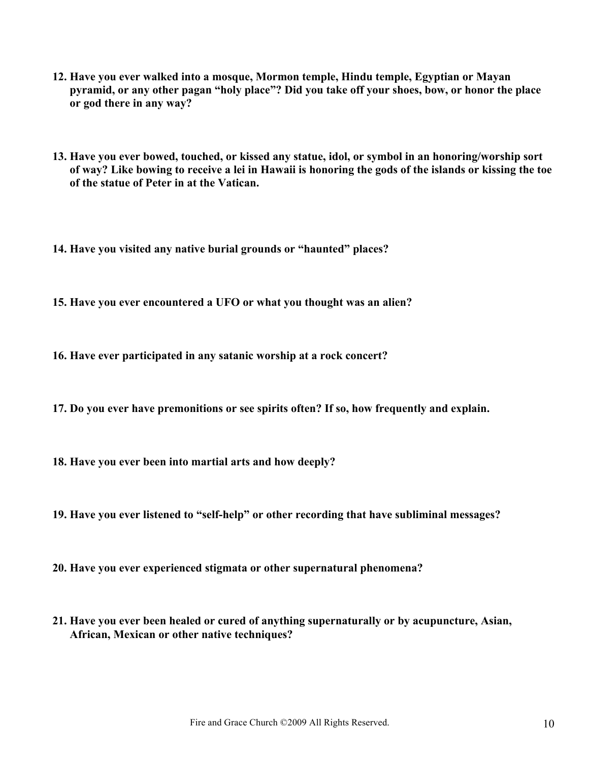- **12. Have you ever walked into a mosque, Mormon temple, Hindu temple, Egyptian or Mayan pyramid, or any other pagan "holy place"? Did you take off your shoes, bow, or honor the place or god there in any way?**
- **13. Have you ever bowed, touched, or kissed any statue, idol, or symbol in an honoring/worship sort of way? Like bowing to receive a lei in Hawaii is honoring the gods of the islands or kissing the toe of the statue of Peter in at the Vatican.**

**14. Have you visited any native burial grounds or "haunted" places?**

**15. Have you ever encountered a UFO or what you thought was an alien?**

**16. Have ever participated in any satanic worship at a rock concert?**

**17. Do you ever have premonitions or see spirits often? If so, how frequently and explain.**

**18. Have you ever been into martial arts and how deeply?**

**19. Have you ever listened to "self-help" or other recording that have subliminal messages?**

- **20. Have you ever experienced stigmata or other supernatural phenomena?**
- **21. Have you ever been healed or cured of anything supernaturally or by acupuncture, Asian, African, Mexican or other native techniques?**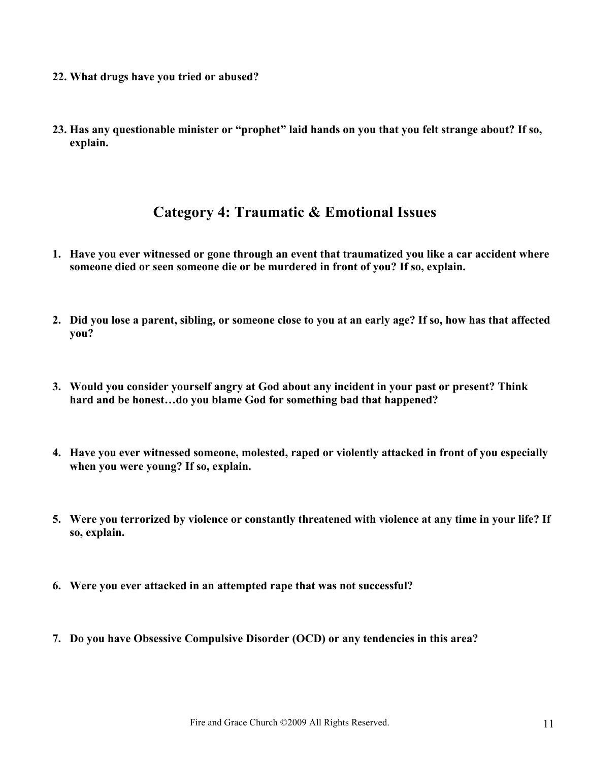- **22. What drugs have you tried or abused?**
- **23. Has any questionable minister or "prophet" laid hands on you that you felt strange about? If so, explain.**

### **Category 4: Traumatic & Emotional Issues**

- **1. Have you ever witnessed or gone through an event that traumatized you like a car accident where someone died or seen someone die or be murdered in front of you? If so, explain.**
- **2. Did you lose a parent, sibling, or someone close to you at an early age? If so, how has that affected you?**
- **3. Would you consider yourself angry at God about any incident in your past or present? Think hard and be honest…do you blame God for something bad that happened?**
- **4. Have you ever witnessed someone, molested, raped or violently attacked in front of you especially when you were young? If so, explain.**
- **5. Were you terrorized by violence or constantly threatened with violence at any time in your life? If so, explain.**
- **6. Were you ever attacked in an attempted rape that was not successful?**
- **7. Do you have Obsessive Compulsive Disorder (OCD) or any tendencies in this area?**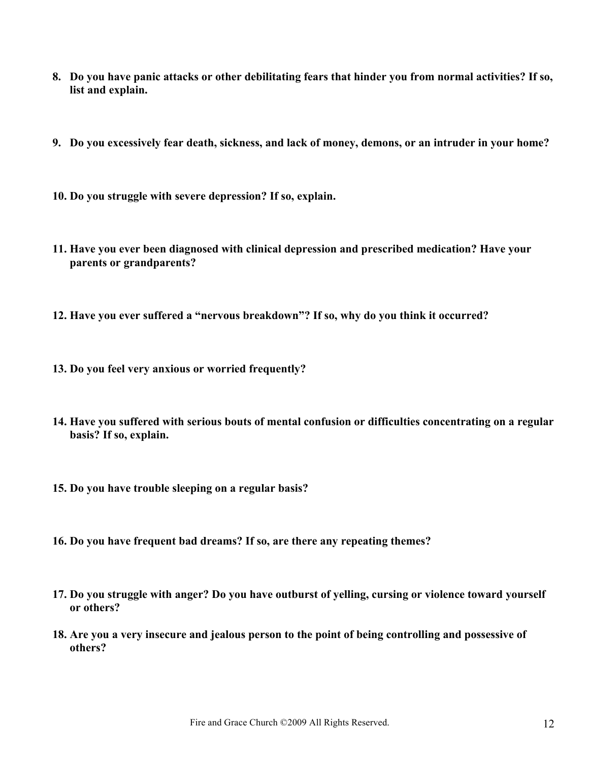- **8. Do you have panic attacks or other debilitating fears that hinder you from normal activities? If so, list and explain.**
- **9. Do you excessively fear death, sickness, and lack of money, demons, or an intruder in your home?**
- **10. Do you struggle with severe depression? If so, explain.**
- **11. Have you ever been diagnosed with clinical depression and prescribed medication? Have your parents or grandparents?**
- **12. Have you ever suffered a "nervous breakdown"? If so, why do you think it occurred?**
- **13. Do you feel very anxious or worried frequently?**
- **14. Have you suffered with serious bouts of mental confusion or difficulties concentrating on a regular basis? If so, explain.**
- **15. Do you have trouble sleeping on a regular basis?**
- **16. Do you have frequent bad dreams? If so, are there any repeating themes?**
- **17. Do you struggle with anger? Do you have outburst of yelling, cursing or violence toward yourself or others?**
- **18. Are you a very insecure and jealous person to the point of being controlling and possessive of others?**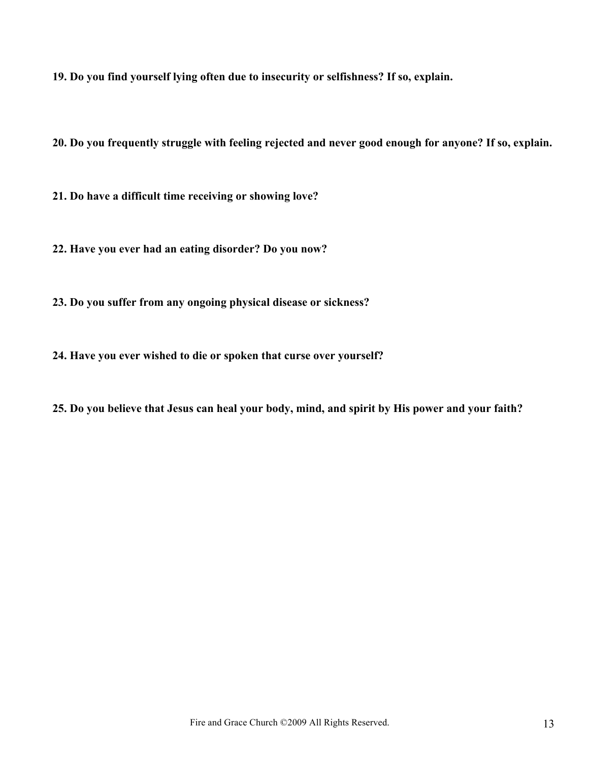**19. Do you find yourself lying often due to insecurity or selfishness? If so, explain.**

**20. Do you frequently struggle with feeling rejected and never good enough for anyone? If so, explain.**

**21. Do have a difficult time receiving or showing love?**

**22. Have you ever had an eating disorder? Do you now?** 

**23. Do you suffer from any ongoing physical disease or sickness?**

**24. Have you ever wished to die or spoken that curse over yourself?**

**25. Do you believe that Jesus can heal your body, mind, and spirit by His power and your faith?**